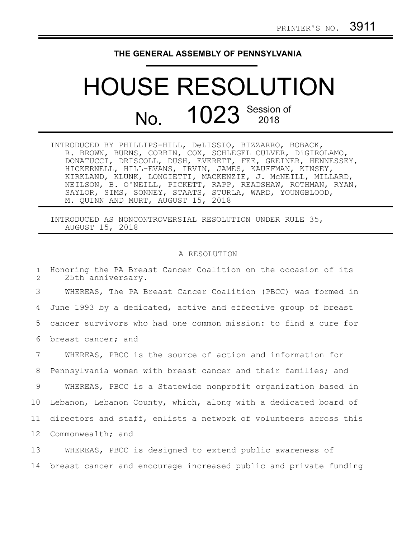## **THE GENERAL ASSEMBLY OF PENNSYLVANIA**

## HOUSE RESOLUTION No. 1023 Session of

INTRODUCED BY PHILLIPS-HILL, DeLISSIO, BIZZARRO, BOBACK, R. BROWN, BURNS, CORBIN, COX, SCHLEGEL CULVER, DiGIROLAMO, DONATUCCI, DRISCOLL, DUSH, EVERETT, FEE, GREINER, HENNESSEY, HICKERNELL, HILL-EVANS, IRVIN, JAMES, KAUFFMAN, KINSEY, KIRKLAND, KLUNK, LONGIETTI, MACKENZIE, J. McNEILL, MILLARD, NEILSON, B. O'NEILL, PICKETT, RAPP, READSHAW, ROTHMAN, RYAN, SAYLOR, SIMS, SONNEY, STAATS, STURLA, WARD, YOUNGBLOOD, M. QUINN AND MURT, AUGUST 15, 2018

INTRODUCED AS NONCONTROVERSIAL RESOLUTION UNDER RULE 35, AUGUST 15, 2018

## A RESOLUTION

Honoring the PA Breast Cancer Coalition on the occasion of its 25th anniversary. WHEREAS, The PA Breast Cancer Coalition (PBCC) was formed in June 1993 by a dedicated, active and effective group of breast cancer survivors who had one common mission: to find a cure for breast cancer; and WHEREAS, PBCC is the source of action and information for Pennsylvania women with breast cancer and their families; and WHEREAS, PBCC is a Statewide nonprofit organization based in Lebanon, Lebanon County, which, along with a dedicated board of directors and staff, enlists a network of volunteers across this Commonwealth; and WHEREAS, PBCC is designed to extend public awareness of 1 2 3 4 5 6 7 8 9 10 11 12 13

breast cancer and encourage increased public and private funding 14